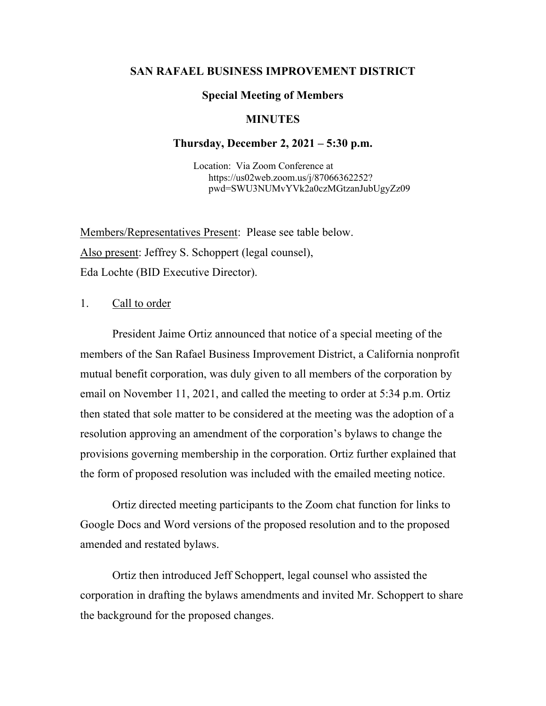## **SAN RAFAEL BUSINESS IMPROVEMENT DISTRICT**

### **Special Meeting of Members**

# **MINUTES**

#### **Thursday, December 2, 2021 – 5:30 p.m.**

 Location: Via Zoom Conference at https://us02web.zoom.us/j/87066362252? pwd=SWU3NUMvYVk2a0czMGtzanJubUgyZz09

Members/Representatives Present: Please see table below. Also present: Jeffrey S. Schoppert (legal counsel), Eda Lochte (BID Executive Director).

#### 1. Call to order

President Jaime Ortiz announced that notice of a special meeting of the members of the San Rafael Business Improvement District, a California nonprofit mutual benefit corporation, was duly given to all members of the corporation by email on November 11, 2021, and called the meeting to order at 5:34 p.m. Ortiz then stated that sole matter to be considered at the meeting was the adoption of a resolution approving an amendment of the corporation's bylaws to change the provisions governing membership in the corporation. Ortiz further explained that the form of proposed resolution was included with the emailed meeting notice.

Ortiz directed meeting participants to the Zoom chat function for links to Google Docs and Word versions of the proposed resolution and to the proposed amended and restated bylaws.

Ortiz then introduced Jeff Schoppert, legal counsel who assisted the corporation in drafting the bylaws amendments and invited Mr. Schoppert to share the background for the proposed changes.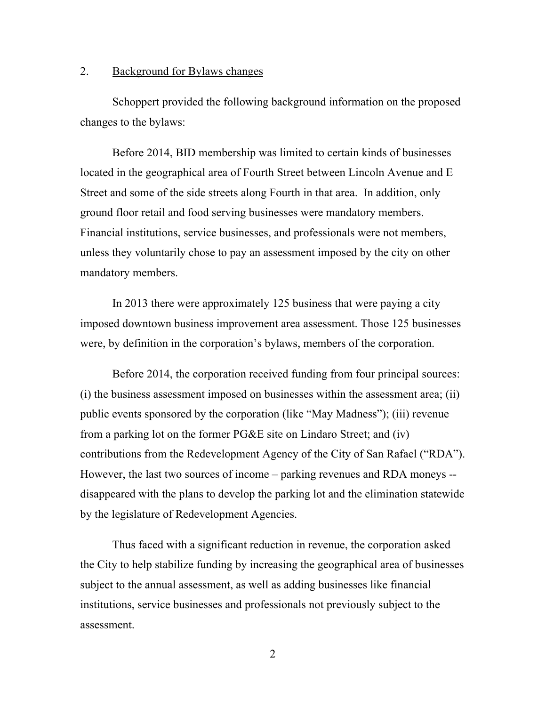# 2. Background for Bylaws changes

Schoppert provided the following background information on the proposed changes to the bylaws:

Before 2014, BID membership was limited to certain kinds of businesses located in the geographical area of Fourth Street between Lincoln Avenue and E Street and some of the side streets along Fourth in that area. In addition, only ground floor retail and food serving businesses were mandatory members. Financial institutions, service businesses, and professionals were not members, unless they voluntarily chose to pay an assessment imposed by the city on other mandatory members.

In 2013 there were approximately 125 business that were paying a city imposed downtown business improvement area assessment. Those 125 businesses were, by definition in the corporation's bylaws, members of the corporation.

Before 2014, the corporation received funding from four principal sources: (i) the business assessment imposed on businesses within the assessment area; (ii) public events sponsored by the corporation (like "May Madness"); (iii) revenue from a parking lot on the former PG&E site on Lindaro Street; and (iv) contributions from the Redevelopment Agency of the City of San Rafael ("RDA"). However, the last two sources of income – parking revenues and RDA moneys - disappeared with the plans to develop the parking lot and the elimination statewide by the legislature of Redevelopment Agencies.

Thus faced with a significant reduction in revenue, the corporation asked the City to help stabilize funding by increasing the geographical area of businesses subject to the annual assessment, as well as adding businesses like financial institutions, service businesses and professionals not previously subject to the assessment.

2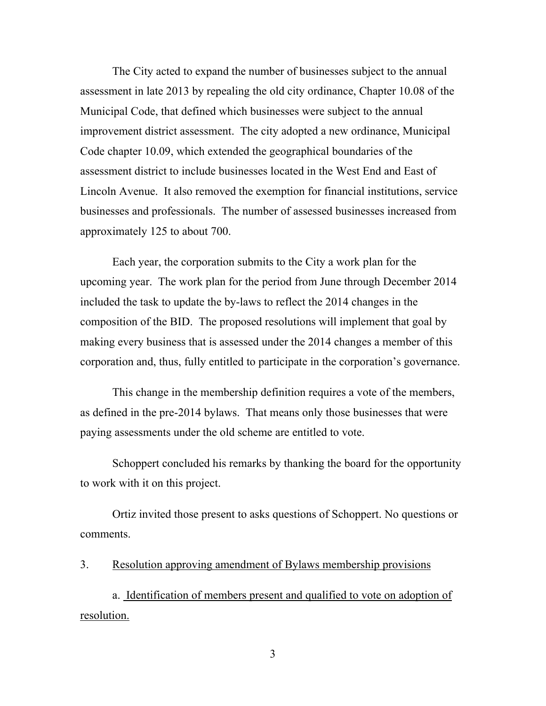The City acted to expand the number of businesses subject to the annual assessment in late 2013 by repealing the old city ordinance, Chapter 10.08 of the Municipal Code, that defined which businesses were subject to the annual improvement district assessment. The city adopted a new ordinance, Municipal Code chapter 10.09, which extended the geographical boundaries of the assessment district to include businesses located in the West End and East of Lincoln Avenue. It also removed the exemption for financial institutions, service businesses and professionals. The number of assessed businesses increased from approximately 125 to about 700.

Each year, the corporation submits to the City a work plan for the upcoming year. The work plan for the period from June through December 2014 included the task to update the by-laws to reflect the 2014 changes in the composition of the BID. The proposed resolutions will implement that goal by making every business that is assessed under the 2014 changes a member of this corporation and, thus, fully entitled to participate in the corporation's governance.

This change in the membership definition requires a vote of the members, as defined in the pre-2014 bylaws. That means only those businesses that were paying assessments under the old scheme are entitled to vote.

Schoppert concluded his remarks by thanking the board for the opportunity to work with it on this project.

Ortiz invited those present to asks questions of Schoppert. No questions or comments.

3. Resolution approving amendment of Bylaws membership provisions

a. Identification of members present and qualified to vote on adoption of resolution.

3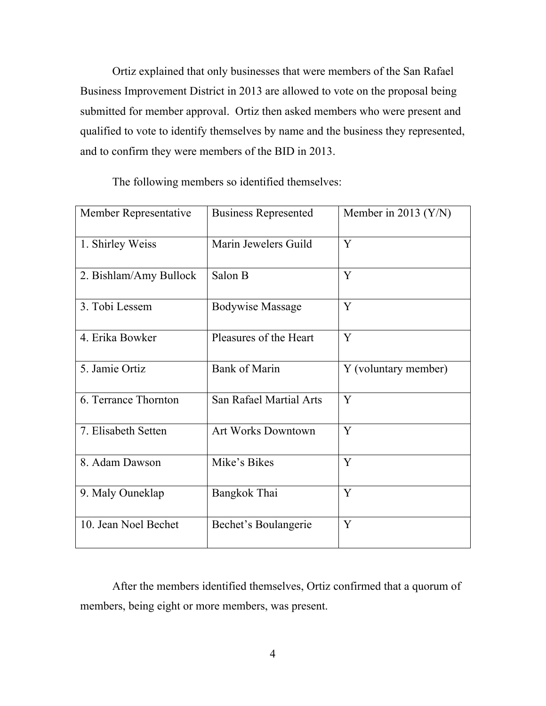Ortiz explained that only businesses that were members of the San Rafael Business Improvement District in 2013 are allowed to vote on the proposal being submitted for member approval. Ortiz then asked members who were present and qualified to vote to identify themselves by name and the business they represented, and to confirm they were members of the BID in 2013.

Member Representative Business Represented Member in 2013 (Y/N) 1. Shirley Weiss Marin Jewelers Guild  $\begin{array}{|l|l|}\n\hline\n\end{array}$ 2. Bishlam/Amy Bullock  $\vert$  Salon B  $\vert$  Y 3. Tobi Lessem Bodywise Massage  $|Y|$ 4. Erika Bowker Pleasures of the Heart Y 5. Jamie Ortiz Bank of Marin Y (voluntary member) 6. Terrance Thornton  $\vert$  San Rafael Martial Arts  $\vert$  Y 7. Elisabeth Setten Art Works Downtown V 8. Adam Dawson Mike's Bikes Y 9. Maly Ouneklap Bangkok Thai  $|Y|$ 10. Jean Noel Bechet Bechet's Boulangerie Y

The following members so identified themselves:

After the members identified themselves, Ortiz confirmed that a quorum of members, being eight or more members, was present.